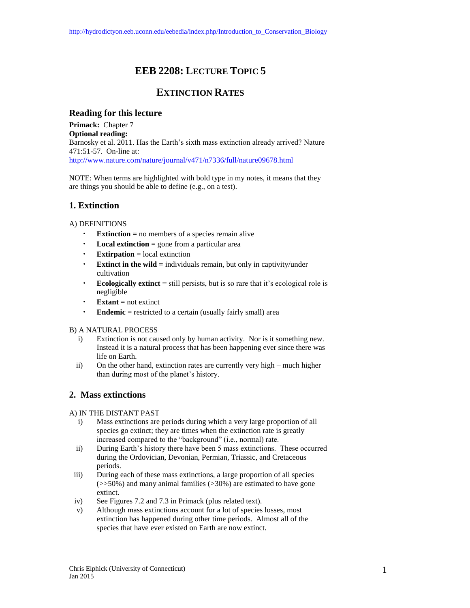# **EEB 2208: LECTURE TOPIC 5**

## **EXTINCTION RATES**

### **Reading for this lecture**

**Primack:** Chapter 7 **Optional reading:** Barnosky et al. 2011. Has the Earth's sixth mass extinction already arrived? Nature 471:51-57. On-line at: <http://www.nature.com/nature/journal/v471/n7336/full/nature09678.html>

NOTE: When terms are highlighted with bold type in my notes, it means that they are things you should be able to define (e.g., on a test).

### **1. Extinction**

### A) DEFINITIONS

- **Extinction**  $=$  no members of a species remain alive
- **Local extinction**  $=$  gone from a particular area
- **Extirpation** = local extinction
- **Extinct in the wild** = individuals remain, but only in captivity/under cultivation
- **Ecologically extinct** = still persists, but is so rare that it's ecological role is negligible
- $\cdot$  **Extant** = not extinct
- **Endemic** = restricted to a certain (usually fairly small) area
- B) A NATURAL PROCESS
	- i) Extinction is not caused only by human activity. Nor is it something new. Instead it is a natural process that has been happening ever since there was life on Earth.
	- ii) On the other hand, extinction rates are currently very high much higher than during most of the planet's history.

### **2. Mass extinctions**

### A) IN THE DISTANT PAST

- i) Mass extinctions are periods during which a very large proportion of all species go extinct; they are times when the extinction rate is greatly increased compared to the "background" (i.e., normal) rate.
- ii) During Earth's history there have been 5 mass extinctions. These occurred during the Ordovician, Devonian, Permian, Triassic, and Cretaceous periods.
- iii) During each of these mass extinctions, a large proportion of all species  $(\gg$ 50%) and many animal families ( $>$ 30%) are estimated to have gone extinct.
- iv) See Figures 7.2 and 7.3 in Primack (plus related text).
- v) Although mass extinctions account for a lot of species losses, most extinction has happened during other time periods. Almost all of the species that have ever existed on Earth are now extinct.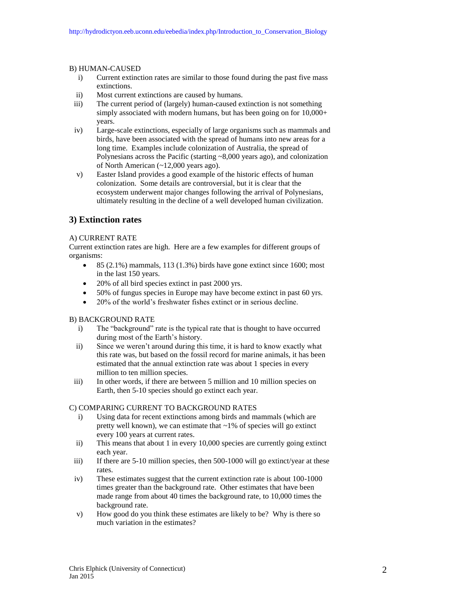#### B) HUMAN-CAUSED

- i) Current extinction rates are similar to those found during the past five mass extinctions.
- ii) Most current extinctions are caused by humans.
- iii) The current period of (largely) human-caused extinction is not something simply associated with modern humans, but has been going on for 10,000+ years.
- iv) Large-scale extinctions, especially of large organisms such as mammals and birds, have been associated with the spread of humans into new areas for a long time. Examples include colonization of Australia, the spread of Polynesians across the Pacific (starting ~8,000 years ago), and colonization of North American (~12,000 years ago).
- v) Easter Island provides a good example of the historic effects of human colonization. Some details are controversial, but it is clear that the ecosystem underwent major changes following the arrival of Polynesians, ultimately resulting in the decline of a well developed human civilization.

### **3) Extinction rates**

### A) CURRENT RATE

Current extinction rates are high. Here are a few examples for different groups of organisms:

- 85 (2.1%) mammals, 113 (1.3%) birds have gone extinct since 1600; most in the last 150 years.
- 20% of all bird species extinct in past 2000 yrs.
- 50% of fungus species in Europe may have become extinct in past 60 yrs.
- 20% of the world's freshwater fishes extinct or in serious decline.

### B) BACKGROUND RATE

- i) The "background" rate is the typical rate that is thought to have occurred during most of the Earth's history.
- ii) Since we weren't around during this time, it is hard to know exactly what this rate was, but based on the fossil record for marine animals, it has been estimated that the annual extinction rate was about 1 species in every million to ten million species.
- iii) In other words, if there are between 5 million and 10 million species on Earth, then 5-10 species should go extinct each year.

### C) COMPARING CURRENT TO BACKGROUND RATES

- i) Using data for recent extinctions among birds and mammals (which are pretty well known), we can estimate that ~1% of species will go extinct every 100 years at current rates.
- ii) This means that about 1 in every 10,000 species are currently going extinct each year.
- iii) If there are 5-10 million species, then 500-1000 will go extinct/year at these rates.
- iv) These estimates suggest that the current extinction rate is about 100-1000 times greater than the background rate. Other estimates that have been made range from about 40 times the background rate, to 10,000 times the background rate.
- v) How good do you think these estimates are likely to be? Why is there so much variation in the estimates?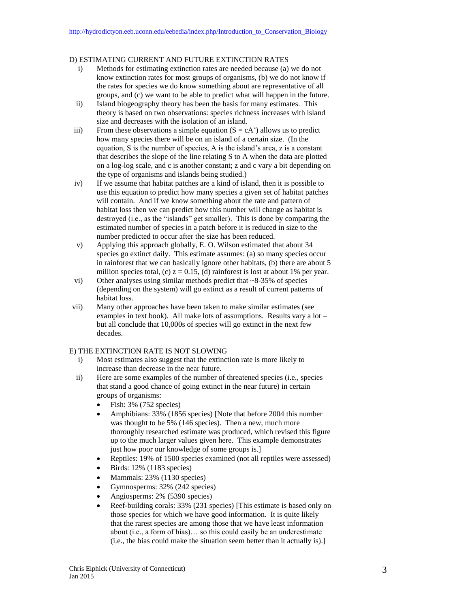#### D) ESTIMATING CURRENT AND FUTURE EXTINCTION RATES

- i) Methods for estimating extinction rates are needed because (a) we do not know extinction rates for most groups of organisms, (b) we do not know if the rates for species we do know something about are representative of all groups, and (c) we want to be able to predict what will happen in the future.
- ii) Island biogeography theory has been the basis for many estimates. This theory is based on two observations: species richness increases with island size and decreases with the isolation of an island.
- iii) From these observations a simple equation  $(S = cA^z)$  allows us to predict how many species there will be on an island of a certain size. (In the equation, S is the number of species, A is the island's area, z is a constant that describes the slope of the line relating S to A when the data are plotted on a log-log scale, and c is another constant; z and c vary a bit depending on the type of organisms and islands being studied.)
- iv) If we assume that habitat patches are a kind of island, then it is possible to use this equation to predict how many species a given set of habitat patches will contain. And if we know something about the rate and pattern of habitat loss then we can predict how this number will change as habitat is destroyed (i.e., as the "islands" get smaller). This is done by comparing the estimated number of species in a patch before it is reduced in size to the number predicted to occur after the size has been reduced.
- v) Applying this approach globally, E. O. Wilson estimated that about 34 species go extinct daily. This estimate assumes: (a) so many species occur in rainforest that we can basically ignore other habitats, (b) there are about 5 million species total, (c)  $z = 0.15$ , (d) rainforest is lost at about 1% per year.
- vi) Other analyses using similar methods predict that ~8-35% of species (depending on the system) will go extinct as a result of current patterns of habitat loss.
- vii) Many other approaches have been taken to make similar estimates (see examples in text book). All make lots of assumptions. Results vary a lot – but all conclude that 10,000s of species will go extinct in the next few decades.

#### E) THE EXTINCTION RATE IS NOT SLOWING

- i) Most estimates also suggest that the extinction rate is more likely to increase than decrease in the near future.
- ii) Here are some examples of the number of threatened species (i.e., species that stand a good chance of going extinct in the near future) in certain groups of organisms:
	- $\bullet$  Fish: 3% (752 species)
	- Amphibians: 33% (1856 species) [Note that before 2004 this number was thought to be 5% (146 species). Then a new, much more thoroughly researched estimate was produced, which revised this figure up to the much larger values given here. This example demonstrates just how poor our knowledge of some groups is.]
	- Reptiles: 19% of 1500 species examined (not all reptiles were assessed)
	- $\bullet$  Birds: 12% (1183 species)
	- Mammals: 23% (1130 species)
	- Gymnosperms:  $32\%$  (242 species)
	- Angiosperms: 2% (5390 species)
	- Reef-building corals: 33% (231 species) [This estimate is based only on those species for which we have good information. It is quite likely that the rarest species are among those that we have least information about (i.e., a form of bias)… so this could easily be an underestimate (i.e., the bias could make the situation seem better than it actually is).]